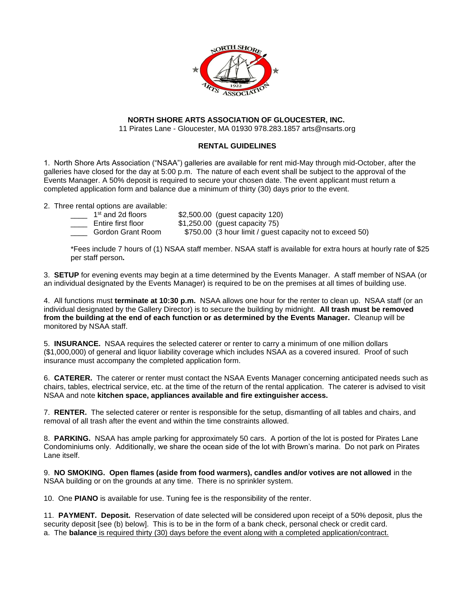

## **NORTH SHORE ARTS ASSOCIATION OF GLOUCESTER, INC.**

11 Pirates Lane - Gloucester, MA 01930 978.283.1857 arts@nsarts.org

## **RENTAL GUIDELINES**

1. North Shore Arts Association ("NSAA") galleries are available for rent mid-May through mid-October, after the galleries have closed for the day at 5:00 p.m. The nature of each event shall be subject to the approval of the Events Manager. A 50% deposit is required to secure your chosen date. The event applicant must return a completed application form and balance due a minimum of thirty (30) days prior to the event.

2. Three rental options are available:

| 1 <sup>st</sup> and 2d floors | \$2,500.00 (guest capacity 120)                           |
|-------------------------------|-----------------------------------------------------------|
| Entire first floor            | $$1,250.00$ (guest capacity 75)                           |
| Gordon Grant Room             | \$750.00 (3 hour limit / guest capacity not to exceed 50) |

 \*Fees include 7 hours of (1) NSAA staff member. NSAA staff is available for extra hours at hourly rate of \$25 per staff person**.**

3. **SETUP** for evening events may begin at a time determined by the Events Manager. A staff member of NSAA (or an individual designated by the Events Manager) is required to be on the premises at all times of building use.

4. All functions must **terminate at 10:30 p.m.** NSAA allows one hour for the renter to clean up. NSAA staff (or an individual designated by the Gallery Director) is to secure the building by midnight. **All trash must be removed from the building at the end of each function or as determined by the Events Manager.** Cleanup will be monitored by NSAA staff.

5. **INSURANCE.** NSAA requires the selected caterer or renter to carry a minimum of one million dollars (\$1,000,000) of general and liquor liability coverage which includes NSAA as a covered insured. Proof of such insurance must accompany the completed application form.

6. **CATERER.** The caterer or renter must contact the NSAA Events Manager concerning anticipated needs such as chairs, tables, electrical service, etc. at the time of the return of the rental application. The caterer is advised to visit NSAA and note **kitchen space, appliances available and fire extinguisher access.** 

7. **RENTER.** The selected caterer or renter is responsible for the setup, dismantling of all tables and chairs, and removal of all trash after the event and within the time constraints allowed.

8. **PARKING.** NSAA has ample parking for approximately 50 cars. A portion of the lot is posted for Pirates Lane Condominiums only. Additionally, we share the ocean side of the lot with Brown's marina. Do not park on Pirates Lane itself.

9. **NO SMOKING. Open flames (aside from food warmers), candles and/or votives are not allowed** in the NSAA building or on the grounds at any time. There is no sprinkler system.

10. One **PIANO** is available for use. Tuning fee is the responsibility of the renter.

11. **PAYMENT. Deposit.** Reservation of date selected will be considered upon receipt of a 50% deposit, plus the security deposit [see (b) below]. This is to be in the form of a bank check, personal check or credit card. a. The **balance** is required thirty (30) days before the event along with a completed application/contract.